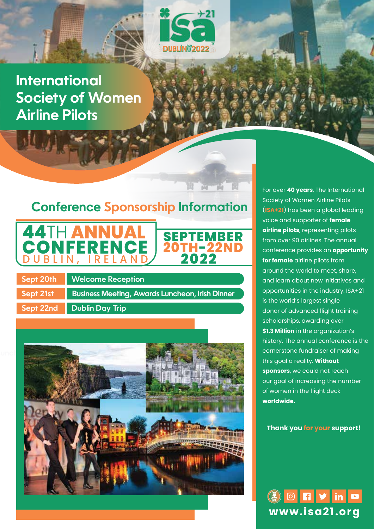

**SEPTEMBER 20TH-22ND 2022**

# **International Society of Women Airline Pilots**

# **Conference Sponsorship Information**



**Sept 20th Welcome Reception Sept 21st Business Meeting, Awards Luncheon, Irish Dinner Sept 22nd Dublin Day Trip**



For over **40 years**, The International Society of Women Airline Pilots (**ISA+21**) has been a global leading voice and supporter of **female airline pilots**, representing pilots from over 90 airlines. The annual conference provides an **opportunity for female** airline pilots from around the world to meet, share, and learn about new initiatives and opportunities in the industry. ISA+21 is the world's largest single donor of advanced flight training scholarships, awarding over **\$1.3 Million** in the organization's history. The annual conference is the cornerstone fundraiser of making this goal a reality. **Without sponsors**, we could not reach our goal of increasing the number of women in the flight deck **worldwide.**

**Thank you for your support!**

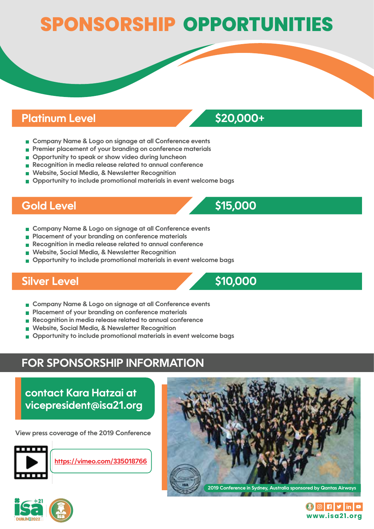# **SPONSORSHIP OPPORTUNITIES**

## **Platinum Level \$20,000+**

- **EX Company Name & Logo on signage at all Conference events**
- **Premier placement of your branding on conference materials**
- $\blacksquare$  Opportunity to speak or show video during luncheon
- **Recognition in media release related to annual conference**
- **Website, Social Media, & Newsletter Recognition**
- $\blacksquare$  Opportunity to include promotional materials in event welcome bags

# **Gold Level \$15,000**

- **EX Company Name & Logo on signage at all Conference events**
- **Placement of your branding on conference materials**
- **Recognition in media release related to annual conference**
- **Website, Social Media, & Newsletter Recognition**
- $\blacksquare$  Opportunity to include promotional materials in event welcome bags

## **Silver Level \$10,000**

**Company Name & Logo on signage at all Conference events**

- **Placement of your branding on conference materials**
- **Recognition in media release related to annual conference**
- **Website, Social Media, & Newsletter Recognition**
- $\blacksquare$  Opportunity to include promotional materials in event welcome bags

# **FOR SPONSORSHIP INFORMATION**

**contact Kara Hatzai at vicepresident@isa21.org**

**View press coverage of the 2019 Conference**







 $\left(\begin{matrix} 1 \\ 0 \end{matrix}\right)$   $\left[\begin{matrix} 1 \\ 0 \end{matrix}\right]$   $\left[\begin{matrix} 1 \\ 0 \end{matrix}\right]$   $\left[\begin{matrix} 1 \\ 0 \end{matrix}\right]$   $\left[\begin{matrix} 1 \\ 0 \end{matrix}\right]$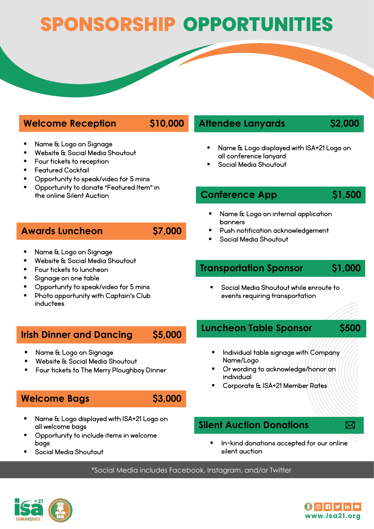# **SPONSORSHIP OPPORTUNITIES**

### **Welcome Reception \$10,000**

- Name & Logo on Signage
- Website & Social Media Shoutout
- Four tickets to reception
- Featured Cocktail
- Opportunity to speak/video for 5 mins
- Opportunity to donate "Featured Item" in the online Silent Auction

### **Awards Luncheon \$7,000**

- 
- Name & Logo on Signage
- Website & Social Media Shoutout
- Four tickets to luncheon
- Signage on one table
- Opportunity to speak/video for 5 mins
- Photo opportunity with Captain's Club inductees

### **Irish Dinner and Dancing \$5,000**

- Name & Logo on Signage
- Website & Social Media Shoutout
- Four tickets to The Merry Ploughboy Dinner

#### **Welcome Bags \$3,000**

- Name & Logo displayed with ISA+21 Logo on all welcome bags
- Opportunity to include items in welcome bags
- Social Media Shoutout

### **Attendee Lanyards \$2,000**

- Name & Logo displayed with ISA+21 Logo on all conference lanyard
- Social Media Shoutout

#### **Conference App \$1,500**

- Name & Logo on internal application banners
- Push notification acknowledgement
- Social Media Shoutout

### **Transportation Sponsor \$1,000**

 Social Media Shoutout while enroute to events requiring transportation

#### **Luncheon Table Sponsor \$500**



- Individual table signage with Company Name/Logo
- Or wording to acknowledge/honor an individual
- Corporate & ISA+21 Member Rates

#### **Silent Auction Donations**

- 
- In-kind donations accepted for our online silent auction

\*Social Media includes Facebook, Instagram, and/or Twitter